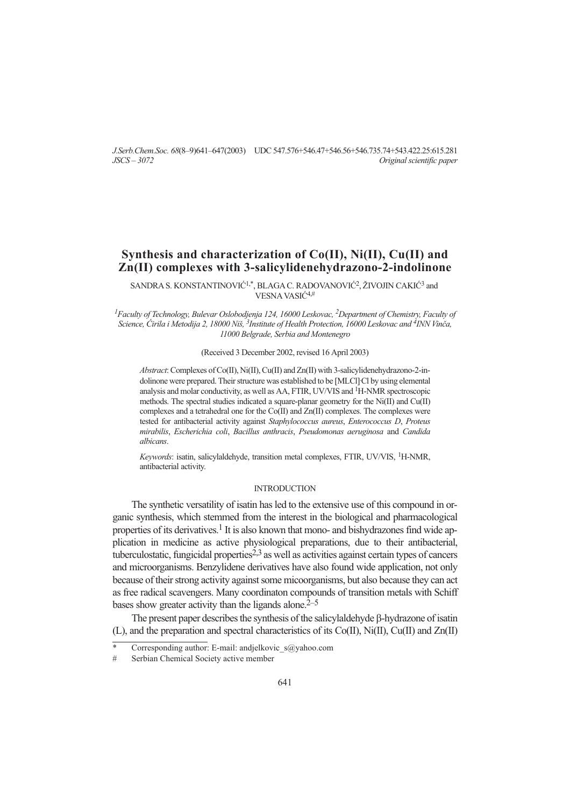*J.Serb.Chem.Soc. 68*(8–9)641–647(2003) UDC 547.576+546.47+546.56+546.735.74+543.422.25:615.281 *JSCS – 3072 Original scientific paper*

# **Synthesis and characterization of Co(II), Ni(II), Cu(II) and Zn(II) complexes with 3-salicylidenehydrazono-2-indolinone**

SANDRA S. KONSTANTINOVIĆ<sup>1,\*</sup>, BLAGA C. RADOVANOVIĆ<sup>2</sup>, ŽIVOJIN CAKIĆ<sup>3</sup> and VESNA VASIĆ<sup>4,#</sup>

*1Faculty of Technology, Bulevar Oslobodjenja 124, 16000 Leskovac, 2Department of Chemistry, Faculty of Science, ]irila i Metodija 2, 18000 Ni{, 3Institute of Health Protection, 16000 Leskovac and 4INN Vin~a, 11000 Belgrade, Serbia and Montenegro*

### (Received 3 December 2002, revised 16 April 2003)

*Abstract*: Complexes of Co(II), Ni(II), Cu(II) and Zn(II) with 3-salicylidenehydrazono-2-indolinone were prepared. Their structure was established to be [MLCl] Cl by using elemental analysis and molar conductivity, as well as AA, FTIR, UV/VIS and <sup>1</sup>H-NMR spectroscopic methods. The spectral studies indicated a square-planar geometry for the Ni(II) and Cu(II) complexes and a tetrahedral one for the Co(II) and Zn(II) complexes. The complexes were tested for antibacterial activity against *Staphylococcus aureus*, *Enterococcus D*, *Proteus mirabilis*, *Escherichia coli*, *Bacillus anthracis*, *Pseudomonas aeruginosa* and *Candida albicans*.

*Keywords*: isatin, salicylaldehyde, transition metal complexes, FTIR, UV/VIS, 1H-NMR, antibacterial activity.

### INTRODUCTION

The synthetic versatility of isatin has led to the extensive use of this compound in organic synthesis, which stemmed from the interest in the biological and pharmacological properties of its derivatives.<sup>1</sup> It is also known that mono- and bishydrazones find wide application in medicine as active physiological preparations, due to their antibacterial, tuberculostatic, fungicidal properties $2,3$  as well as activities against certain types of cancers and microorganisms. Benzylidene derivatives have also found wide application, not only because of their strong activity against some micoorganisms, but also because they can act as free radical scavengers. Many coordinaton compounds of transition metals with Schiff bases show greater activity than the ligands alone. $2-5$ 

The present paper describes the synthesis of the salicylaldehyde  $\beta$ -hydrazone of isatin (L), and the preparation and spectral characteristics of its Co(II), Ni(II), Cu(II) and Zn(II)

Corresponding author: E-mail: andjelkovic  $s@yahoo.com$ 

<sup>#</sup> Serbian Chemical Society active member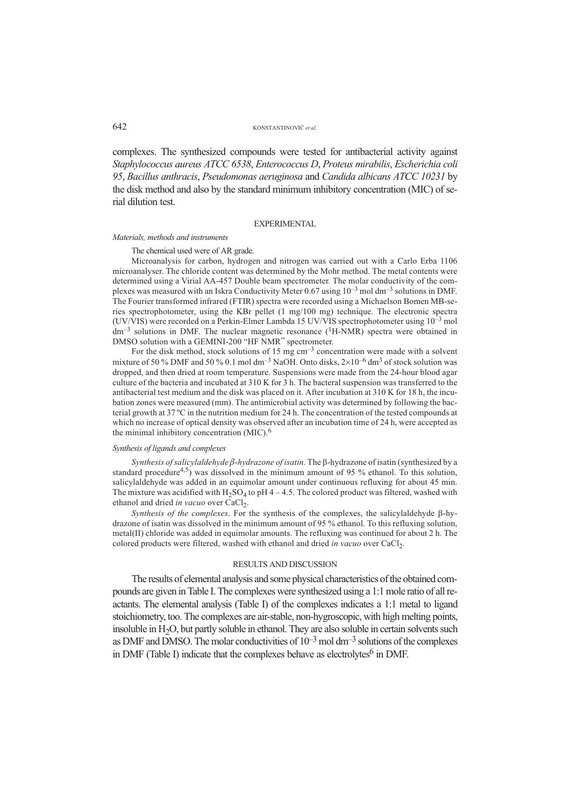#### 642 KONSTANTINOVIĆ et al.

complexes. The synthesized compounds were tested for antibacterial activity against *Staphylococcus aureus ATCC 6538*, *Enterococcus D*, *Proteus mirabilis*, *Escherichia coli 95*, *Bacillus anthracis*, *Pseudomonas aeruginosa* and *Candida albicans ATCC 10231* by the disk method and also by the standard minimum inhibitory concentration (MIC) of serial dilution test.

#### EXPERIMENTAL

#### *Materials, methods and instruments*

The chemical used were of AR grade.

Microanalysis for carbon, hydrogen and nitrogen was carried out with a Carlo Erba 1106 microanalyser. The chloride content was determined by the Mohr method. The metal contents were determined using a Virial AA-457 Double beam spectrometer. The molar conductivity of the complexes was measured with an Iskra Conductivity Meter 0.67 using  $10^{-3}$  mol dm<sup>-3</sup> solutions in DMF. The Fourier transformed infrared (FTIR) spectra were recorded using a Michaelson Bomen MB-series spectrophotometer, using the KBr pellet (1 mg/100 mg) technique. The electronic spectra (UV/VIS) were recorded on a Perkin-Elmer Lambda 15 UV/VIS spectrophotometer using 10–3 mol  $dm^{-3}$  solutions in DMF. The nuclear magnetic resonance ( ${}^{1}$ H-NMR) spectra were obtained in DMSO solution with a GEMINI-200 "HF NMR" spectrometer.

For the disk method, stock solutions of 15 mg  $cm^{-3}$  concentration were made with a solvent mixture of 50 % DMF and 50 % 0.1 mol dm<sup>-3</sup> NaOH. Onto disks,  $2\times10^{-6}$  dm<sup>3</sup> of stock solution was dropped, and then dried at room temperature. Suspensions were made from the 24-hour blood agar culture of the bacteria and incubated at 310 K for 3 h. The bacteral suspension was transferred to the antibacterial test medium and the disk was placed on it. After incubation at 310 K for 18 h, the incubation zones were measured (mm). The antimicrobial activity was determined by following the bacterial growth at 37 ºC in the nutrition medium for 24 h. The concentration of the tested compounds at which no increase of optical density was observed after an incubation time of 24 h, were accepted as the minimal inhibitory concentration (MIC).<sup>6</sup>

#### *Synthesis of ligands and complexes*

 $Synthesis of salicylaldehyde  $\beta$ -hydrogen of isatin. The  $\beta$ -hydrogen of isatin (synthesized by a$ standard procedure<sup>4,5</sup>) was dissolved in the minimum amount of 95 % ethanol. To this solution, salicylaldehyde was added in an equimolar amount under continuous refluxing for about 45 min. The mixture was acidified with  $H_2SO_4$  to pH 4 – 4.5. The colored product was filtered, washed with ethanol and dried *in vacuo* over CaCl<sub>2</sub>.

*Synthesis of the complexes*. For the synthesis of the complexes, the salicylaldehyde  $\beta$ -hydrazone of isatin was dissolved in the minimum amount of 95 % ethanol. To this refluxing solution, metal(II) chloride was added in equimolar amounts. The refluxing was continued for about 2 h. The colored products were filtered, washed with ethanol and dried *in vacuo* over CaCl<sub>2</sub>.

#### RESULTS AND DISCUSSION

The results of elemental analysis and some physical characteristics of the obtained compounds are given in Table I. The complexes were synthesized using a 1:1 mole ratio of all reactants. The elemental analysis (Table I) of the complexes indicates a 1:1 metal to ligand stoichiometry, too. The complexes are air-stable, non-hygroscopic, with high melting points, insoluble in  $H<sub>2</sub>O$ , but partly soluble in ethanol. They are also soluble in certain solvents such as DMF and DMSO. The molar conductivities of  $10^{-3}$  mol dm<sup>-3</sup> solutions of the complexes in DMF (Table I) indicate that the complexes behave as electrolytes<sup>6</sup> in DMF.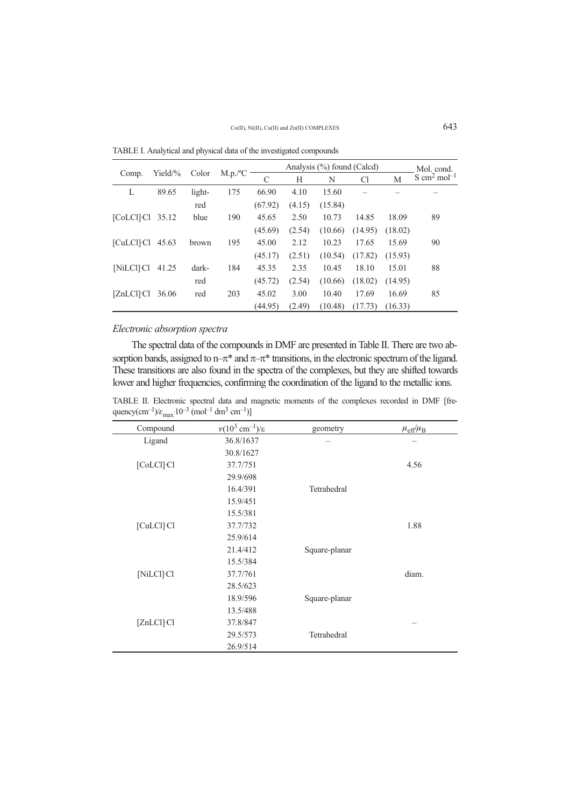|                                      |             |        | M.p./ <sup>o</sup> C |         | Mol. cond. |         |                |         |                                   |
|--------------------------------------|-------------|--------|----------------------|---------|------------|---------|----------------|---------|-----------------------------------|
| Comp.                                | Yield/ $\%$ | Color  |                      | C       | Н          | N       | C <sub>1</sub> | М       | $S \text{ cm}^2 \text{ mol}^{-1}$ |
| L                                    | 89.65       | light- | 175                  | 66.90   | 4.10       | 15.60   |                |         |                                   |
|                                      |             | red    |                      | (67.92) | (4.15)     | (15.84) |                |         |                                   |
| [CoLCI] Cl                           | 35.12       | blue   | 190                  | 45.65   | 2.50       | 10.73   | 14.85          | 18.09   | 89                                |
|                                      |             |        |                      | (45.69) | (2.54)     | (10.66) | (14.95)        | (18.02) |                                   |
| $[CuLC1]$ <sup><math>C1</math></sup> | 45.63       | brown  | 195                  | 45.00   | 2.12       | 10.23   | 17.65          | 15.69   | 90                                |
|                                      |             |        |                      | (45.17) | (2.51)     | (10.54) | (17.82)        | (15.93) |                                   |
| [NiLCI] Cl                           | 41.25       | dark-  | 184                  | 45.35   | 2.35       | 10.45   | 18.10          | 15.01   | 88                                |
|                                      |             | red    |                      | (45.72) | (2.54)     | (10.66) | (18.02)        | (14.95) |                                   |
| $[ZnLC1]$ $Cl$                       | 36.06       | red    | 203                  | 45.02   | 3.00       | 10.40   | 17.69          | 16.69   | 85                                |
|                                      |             |        |                      | (44.95) | (2.49)     | (10.48) | (17.73)        | (16.33) |                                   |

TABLE I. Analytical and physical data of the investigated compounds

# *Electronic absorption spectra*

The spectral data of the compounds in DMF are presented in Table II. There are two absorption bands, assigned to n– $\pi^*$  and  $\pi$ – $\pi^*$  transitions, in the electronic spectrum of the ligand. These transitions are also found in the spectra of the complexes, but they are shifted towards lower and higher frequencies, confirming the coordination of the ligand to the metallic ions.

TABLE II. Electronic spectral data and magnetic moments of the complexes recorded in DMF frequency(cm<sup>-1</sup>)/ $\varepsilon_{\text{max}}$ .10<sup>-3</sup> (mol<sup>-1</sup> dm<sup>3</sup> cm<sup>-1</sup>)]

| Compound                | $\nu(10^3 \text{ cm}^{-1})/\varepsilon$ | geometry      | $\mu_{\text{eff}}/\mu_{\text{B}}$ |
|-------------------------|-----------------------------------------|---------------|-----------------------------------|
| Ligand                  | 36.8/1637                               |               |                                   |
|                         | 30.8/1627                               |               |                                   |
| [CoLCl] Cl              | 37.7/751                                |               | 4.56                              |
|                         | 29.9/698                                |               |                                   |
|                         | 16.4/391                                | Tetrahedral   |                                   |
|                         | 15.9/451                                |               |                                   |
|                         | 15.5/381                                |               |                                   |
| [CuLCl] Cl              | 37.7/732                                |               | 1.88                              |
|                         | 25.9/614                                |               |                                   |
|                         | 21.4/412                                | Square-planar |                                   |
|                         | 15.5/384                                |               |                                   |
| [NiLCl] Cl              | 37.7/761                                |               | diam.                             |
|                         | 28.5/623                                |               |                                   |
|                         | 18.9/596                                | Square-planar |                                   |
|                         | 13.5/488                                |               |                                   |
| $[ZnLC1]$ <sup>Cl</sup> | 37.8/847                                |               |                                   |
|                         | 29.5/573                                | Tetrahedral   |                                   |
|                         | 26.9/514                                |               |                                   |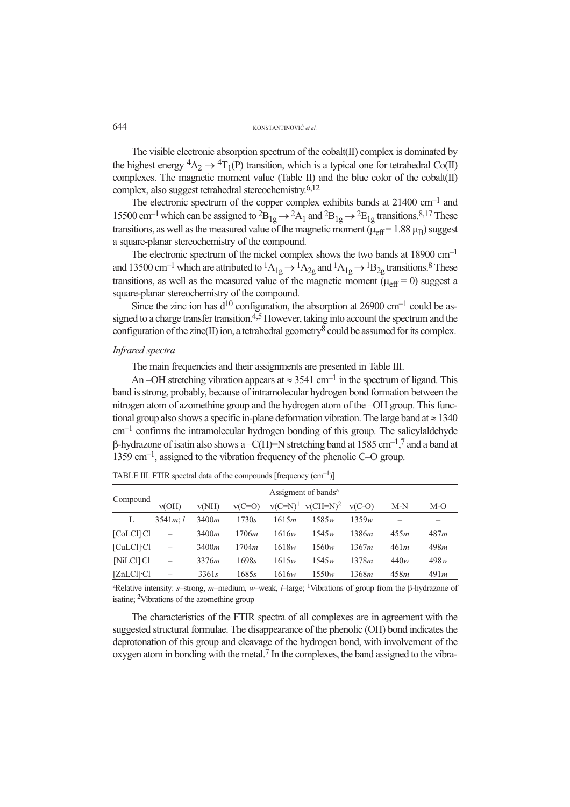The visible electronic absorption spectrum of the cobalt(II) complex is dominated by the highest energy  ${}^4A_2 \rightarrow {}^4T_1(P)$  transition, which is a typical one for tetrahedral Co(II) complexes. The magnetic moment value (Table II) and the blue color of the cobalt(II) complex, also suggest tetrahedral stereochemistry.6,12

The electronic spectrum of the copper complex exhibits bands at 21400 cm–1 and 15500 cm<sup>-1</sup> which can be assigned to  ${}^{2}B_{1g} \rightarrow {}^{2}A_1$  and  ${}^{2}B_{1g} \rightarrow {}^{2}E_{1g}$  transitions.<sup>8,17</sup> These transitions, as well as the measured value of the magnetic moment ( $\mu_{\text{eff}}$  = 1.88  $\mu_{\text{B}}$ ) suggest a square-planar stereochemistry of the compound.

The electronic spectrum of the nickel complex shows the two bands at 18900 cm–1 and 13500 cm<sup>-1</sup> which are attributed to  ${}^{1}A_{1g} \rightarrow {}^{1}A_{2g}$  and  ${}^{1}A_{1g} \rightarrow {}^{1}B_{2g}$  transitions.<sup>8</sup> These transitions, as well as the measured value of the magnetic moment  $(\mu_{\text{eff}} = 0)$  suggest a square-planar stereochemistry of the compound.

Since the zinc ion has  $d^{10}$  configuration, the absorption at 26900 cm<sup>-1</sup> could be assigned to a charge transfer transition.<sup>4,5</sup> However, taking into account the spectrum and the configuration of the zinc(II) ion, a tetrahedral geometry<sup>8</sup> could be assumed for its complex.

### *Infrared spectra*

The main frequencies and their assignments are presented in Table III.

An –OH stretching vibration appears at  $\approx 3541$  cm<sup>-1</sup> in the spectrum of ligand. This band is strong, probably, because of intramolecular hydrogen bond formation between the nitrogen atom of azomethine group and the hydrogen atom of the –OH group. This functional group also shows a specific in-plane deformation vibration. The large band at  $\approx 1340$  $cm<sup>-1</sup>$  confirms the intramolecular hydrogen bonding of this group. The salicylaldehyde  $\beta$ -hydrazone of isatin also shows a -C(H)=N stretching band at 1585 cm<sup>-1</sup>,<sup>7</sup> and a band at  $1359 \text{ cm}^{-1}$ , assigned to the vibration frequency of the phenolic C–O group.

|                                      |          | Assigment of bands <sup>a</sup> |               |            |                         |          |      |      |  |  |  |  |
|--------------------------------------|----------|---------------------------------|---------------|------------|-------------------------|----------|------|------|--|--|--|--|
| Compound <sup>-</sup>                | v(OH)    | v(NH)                           | $v(C=O)$      | $v(C=N)^1$ | $v$ (CH=N) <sup>2</sup> | $v(C-O)$ | M-N  | M-O  |  |  |  |  |
| L                                    | 3541m: l | 3400 <i>m</i>                   | 1730s         | 1615m      | 1585w                   | 1359w    |      |      |  |  |  |  |
| [CoLCI] Cl                           |          | 3400m                           | 1706 <i>m</i> | 1616w      | 1545w                   | 1386m    | 455m | 487m |  |  |  |  |
| $[CuLC1]$ <sup><math>Cl</math></sup> | -        | 3400m                           | 1704m         | 1618w      | 1560w                   | 1367m    | 461m | 498m |  |  |  |  |
| [NiLCI] Cl                           | -        | 3376 <i>m</i>                   | 1698s         | 1615w      | 1545w                   | 1378m    | 440w | 498w |  |  |  |  |
| [ZnLCl] Cl                           |          | 3361s                           | 1685s         | 1616w      | 1550w                   | 1368m    | 458m | 491m |  |  |  |  |

TABLE III. FTIR spectral data of the compounds  $[frequency (cm<sup>-1</sup>)]$ 

<sup>a</sup>Relative intensity: *s*–strong, *m*–medium, *w*–weak, *l*–large; <sup>1</sup>Vibrations of group from the β-hydrazone of isatine; 2Vibrations of the azomethine group

The characteristics of the FTIR spectra of all complexes are in agreement with the suggested structural formulae. The disappearance of the phenolic (OH) bond indicates the deprotonation of this group and cleavage of the hydrogen bond, with involvement of the oxygen atom in bonding with the metal.7 In the complexes, the band assigned to the vibra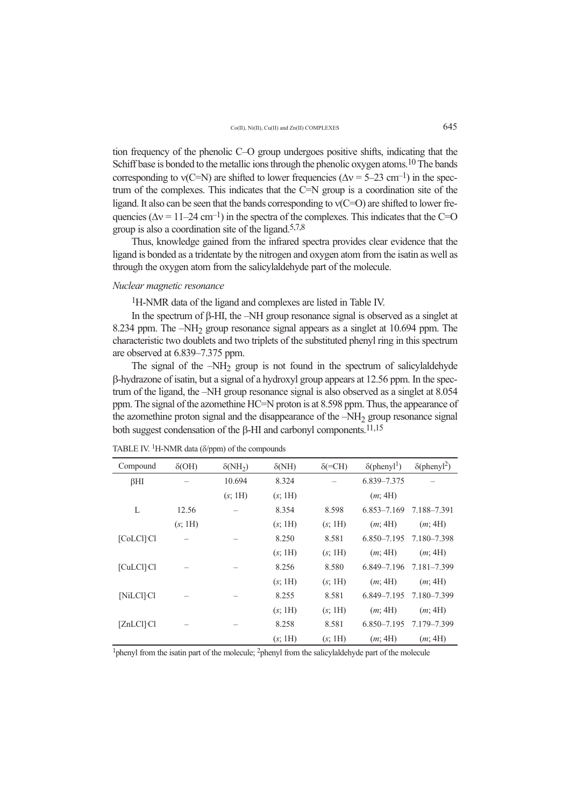tion frequency of the phenolic C–O group undergoes positive shifts, indicating that the Schiff base is bonded to the metallic ions through the phenolic oxygen atoms.<sup>10</sup> The bands corresponding to  $v(C=N)$  are shifted to lower frequencies ( $\Delta v = 5-23$  cm<sup>-1</sup>) in the spectrum of the complexes. This indicates that the C=N group is a coordination site of the ligand. It also can be seen that the bands corresponding to  $v(C=O)$  are shifted to lower frequencies ( $\Delta v = 11-24$  cm<sup>-1</sup>) in the spectra of the complexes. This indicates that the C=O group is also a coordination site of the ligand.5,7,8

Thus, knowledge gained from the infrared spectra provides clear evidence that the ligand is bonded as a tridentate by the nitrogen and oxygen atom from the isatin as well as through the oxygen atom from the salicylaldehyde part of the molecule.

# *Nuclear magnetic resonance*

1H-NMR data of the ligand and complexes are listed in Table IV.

In the spectrum of  $\beta$ -HI, the –NH group resonance signal is observed as a singlet at 8.234 ppm. The  $-NH<sub>2</sub>$  group resonance signal appears as a singlet at 10.694 ppm. The characteristic two doublets and two triplets of the substituted phenyl ring in this spectrum are observed at 6.839–7.375 ppm.

The signal of the  $-NH<sub>2</sub>$  group is not found in the spectrum of salicylaldehyde -hydrazone of isatin, but a signal of a hydroxyl group appears at 12.56 ppm. In the spectrum of the ligand, the –NH group resonance signal is also observed as a singlet at 8.054 ppm. The signal of the azomethine HC=N proton is at 8.598 ppm. Thus, the appearance of the azomethine proton signal and the disappearance of the  $-NH<sub>2</sub>$  group resonance signal both suggest condensation of the  $\beta$ -HI and carbonyl components.<sup>11,15</sup>

| Compound                | $\delta(OH)$ | $\delta(NH_2)$ | $\delta(NH)$ | $\delta$ (=CH) | $\delta$ (phenyl <sup>1</sup> ) | $\delta$ (phenyl <sup>2</sup> ) |
|-------------------------|--------------|----------------|--------------|----------------|---------------------------------|---------------------------------|
| $\beta$ HI              |              | 10.694         | 8.324        |                | 6.839–7.375                     |                                 |
|                         |              | (s; 1H)        | (s; 1H)      |                | (m; 4H)                         |                                 |
| L                       | 12.56        |                | 8.354        | 8.598          | $6.853 - 7.169$                 | 7.188-7.391                     |
|                         | (s; 1H)      |                | (s; 1H)      | (s; 1H)        | (m; 4H)                         | (m; 4H)                         |
| $[CoLC1]$ $Cl$          |              |                | 8.250        | 8.581          | $6.850 - 7.195$                 | 7.180-7.398                     |
|                         |              |                | (s; 1H)      | (s; 1H)        | (m; 4H)                         | (m; 4H)                         |
| $[CuLC1]$ $Cl$          |              |                | 8.256        | 8.580          | 6.849–7.196                     | 7.181-7.399                     |
|                         |              |                | (s; 1H)      | (s; 1H)        | (m; 4H)                         | (m; 4H)                         |
| [NiLCI] Cl              |              |                | 8.255        | 8.581          | $6.849 - 7.195$                 | 7.180-7.399                     |
|                         |              |                | (s; 1H)      | (s; 1H)        | (m; 4H)                         | (m; 4H)                         |
| $[ZnLC1]$ <sup>Cl</sup> |              |                | 8.258        | 8.581          | $6.850 - 7.195$                 | 7.179–7.399                     |
|                         |              |                | (s; 1H)      | (s; 1H)        | (m; 4H)                         | (m; 4H)                         |

TABLE IV. <sup>1</sup>H-NMR data ( $\delta$ /ppm) of the compounds

<sup>1</sup>phenyl from the isatin part of the molecule;  $^2$ phenyl from the salicylaldehyde part of the molecule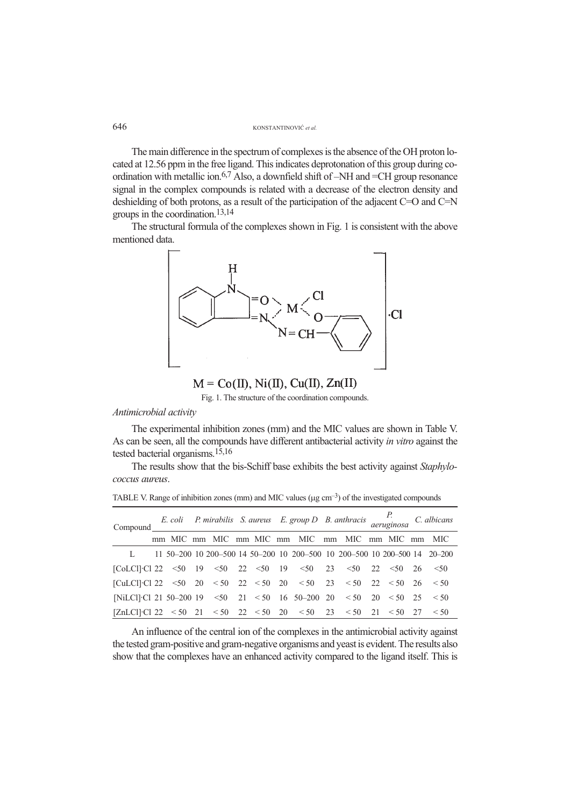### 646 KONSTANTINOVIĆ et al.

The main difference in the spectrum of complexes is the absence of the OH proton located at 12.56 ppm in the free ligand. This indicates deprotonation of this group during coordination with metallic ion.6,7 Also, a downfield shift of –NH and =CH group resonance signal in the complex compounds is related with a decrease of the electron density and deshielding of both protons, as a result of the participation of the adjacent C=O and C=N groups in the coordination.13,14

The structural formula of the complexes shown in Fig. 1 is consistent with the above mentioned data.



 $M = Co(II), Ni(II), Cu(II), Zn(II)$ 

Fig. 1. The structure of the coordination compounds.

# *Antimicrobial activity*

The experimental inhibition zones (mm) and the MIC values are shown in Table V. As can be seen, all the compounds have different antibacterial activity *in vitro* against the tested bacterial organisms.15,16

The results show that the bis-Schiff base exhibits the best activity against *Staphylococcus aureus*.

| Compound                                                                                                                                      |  |  |  | E. coli P. mirabilis S. aureus E. group D B. anthracis $P$ . colicans aeruginosa C. albicans |  |  |  |
|-----------------------------------------------------------------------------------------------------------------------------------------------|--|--|--|----------------------------------------------------------------------------------------------|--|--|--|
|                                                                                                                                               |  |  |  | mm MIC mm MIC mm MIC mm MIC mm MIC mm MIC mm MIC                                             |  |  |  |
|                                                                                                                                               |  |  |  | L 11 50–200 10 200–500 14 50–200 10 200–500 10 200–500 10 200–500 14 20–200                  |  |  |  |
| [CoLCI]·Cl 22 <50 19 <50 22 <50 19 <50 23 <50 22 <50 26 <50                                                                                   |  |  |  |                                                                                              |  |  |  |
| [CuLCI]·Cl 22 <50 20 <50 22 <50 20 <50 23 <50 22 <50 26 <50                                                                                   |  |  |  |                                                                                              |  |  |  |
| [NiLCl]·Cl 21 50–200 19 <50 21 <50 16 50–200 20 <50 20 <50 25 <50                                                                             |  |  |  |                                                                                              |  |  |  |
| $[\text{ZnLCl}]\text{-}\text{Cl} \ 22 \ < 50 \quad 21 \ < 50 \quad 22 \ < 50 \quad 20 \ < 50 \quad 23 \ < 50 \quad 21 \ < 50 \quad 27 \ < 50$ |  |  |  |                                                                                              |  |  |  |

TABLE V. Range of inhibition zones (mm) and MIC values ( $\mu$ g cm<sup>-3</sup>) of the investigated compounds

An influence of the central ion of the complexes in the antimicrobial activity against the tested gram-positive and gram-negative organisms and yeast is evident. The results also show that the complexes have an enhanced activity compared to the ligand itself. This is